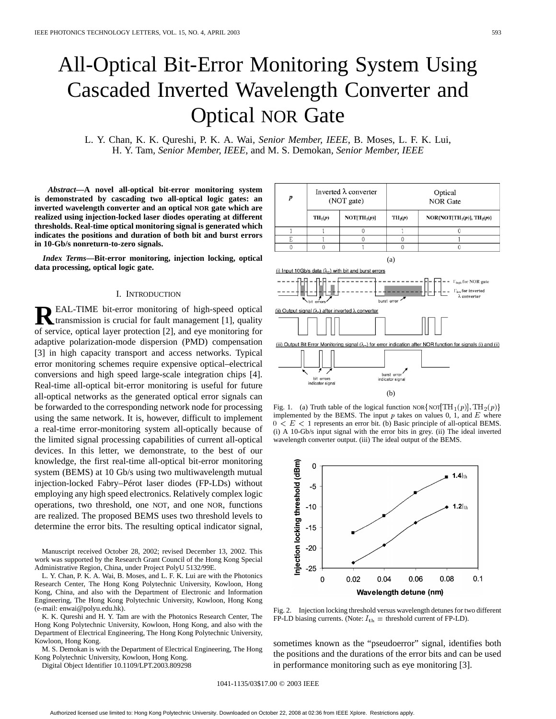# All-Optical Bit-Error Monitoring System Using Cascaded Inverted Wavelength Converter and Optical NOR Gate

L. Y. Chan, K. K. Qureshi, P. K. A. Wai*, Senior Member, IEEE*, B. Moses, L. F. K. Lui, H. Y. Tam*, Senior Member, IEEE*, and M. S. Demokan*, Senior Member, IEEE*

*Abstract—***A novel all-optical bit-error monitoring system is demonstrated by cascading two all-optical logic gates: an inverted wavelength converter and an optical NOR gate which are realized using injection-locked laser diodes operating at different thresholds. Real-time optical monitoring signal is generated which indicates the positions and duration of both bit and burst errors in 10-Gb/s nonreturn-to-zero signals.**

*Index Terms—***Bit-error monitoring, injection locking, optical data processing, optical logic gate.**

# I. INTRODUCTION

**R**EAL-TIME bit-error monitoring of high-speed optical transmission is crucial for fault management [1], quality of service, optical layer protection [2], and eye monitoring for adaptive polarization-mode dispersion (PMD) compensation [3] in high capacity transport and access networks. Typical error monitoring schemes require expensive optical–electrical conversions and high speed large-scale integration chips [4]. Real-time all-optical bit-error monitoring is useful for future all-optical networks as the generated optical error signals can be forwarded to the corresponding network node for processing using the same network. It is, however, difficult to implement a real-time error-monitoring system all-optically because of the limited signal processing capabilities of current all-optical devices. In this letter, we demonstrate, to the best of our knowledge, the first real-time all-optical bit-error monitoring system (BEMS) at 10 Gb/s using two multiwavelength mutual injection-locked Fabry–Pérot laser diodes (FP-LDs) without employing any high speed electronics. Relatively complex logic operations, two threshold, one NOT, and one NOR, functions are realized. The proposed BEMS uses two threshold levels to determine the error bits. The resulting optical indicator signal,

Manuscript received October 28, 2002; revised December 13, 2002. This work was supported by the Research Grant Council of the Hong Kong Special Administrative Region, China, under Project PolyU 5132/99E.

L. Y. Chan, P. K. A. Wai, B. Moses, and L. F. K. Lui are with the Photonics Research Center, The Hong Kong Polytechnic University, Kowloon, Hong Kong, China, and also with the Department of Electronic and Information Engineering, The Hong Kong Polytechnic University, Kowloon, Hong Kong (e-mail: enwai@polyu.edu.hk).

K. K. Qureshi and H. Y. Tam are with the Photonics Research Center, The Hong Kong Polytechnic University, Kowloon, Hong Kong, and also with the Department of Electrical Engineering, The Hong Kong Polytechnic University, Kowloon, Hong Kong.

M. S. Demokan is with the Department of Electrical Engineering, The Hong Kong Polytechnic University, Kowloon, Hong Kong.

Digital Object Identifier 10.1109/LPT.2003.809298



Fig. 1. (a) Truth table of the logical function NOR {NOT  $[TH_1(p)]$ ,  $TH_2(p)$ } implemented by the BEMS. The input  $p$  takes on values 0, 1, and  $E$  where  $0 < E < 1$  represents an error bit. (b) Basic principle of all-optical BEMS. (i) A 10-Gb/s input signal with the error bits in grey. (ii) The ideal inverted wavelength converter output. (iii) The ideal output of the BEMS.



Fig. 2. Injection locking threshold versus wavelength detunes for two different FP-LD biasing currents. (Note:  $I_{\text{th}}$  = threshold current of FP-LD).

sometimes known as the "pseudoerror" signal, identifies both the positions and the durations of the error bits and can be used in performance monitoring such as eye monitoring [3].

1041-1135/03\$17.00 © 2003 IEEE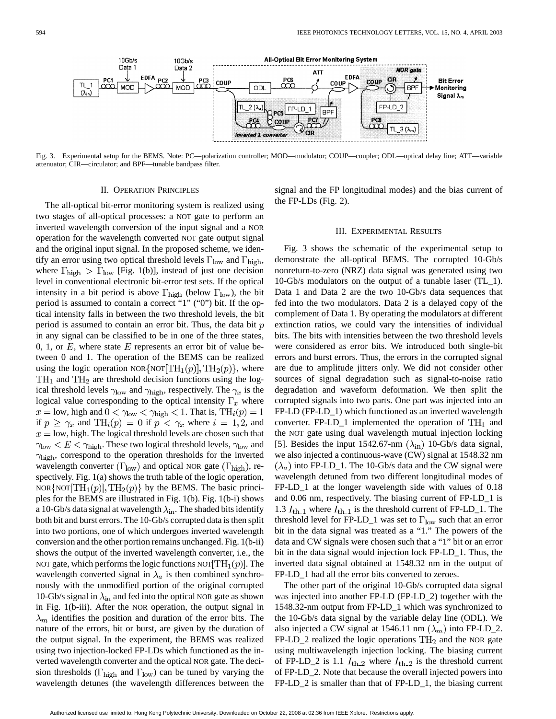

Fig. 3. Experimental setup for the BEMS. Note: PC—polarization controller; MOD—modulator; COUP—coupler; ODL—optical delay line; ATT—variable attenuator; CIR—circulator; and BPF—tunable bandpass filter.

## II. OPERATION PRINCIPLES

The all-optical bit-error monitoring system is realized using two stages of all-optical processes: a NOT gate to perform an inverted wavelength conversion of the input signal and a NOR operation for the wavelength converted NOT gate output signal and the original input signal. In the proposed scheme, we identify an error using two optical threshold levels  $\Gamma_{\text{low}}$  and  $\Gamma_{\text{high}}$ , where  $\Gamma_{\text{high}} > \Gamma_{\text{low}}$  [Fig. 1(b)], instead of just one decision level in conventional electronic bit-error test sets. If the optical intensity in a bit period is above  $\Gamma_{\text{high}}$  (below  $\Gamma_{\text{low}}$ ), the bit period is assumed to contain a correct "1" ("0") bit. If the optical intensity falls in between the two threshold levels, the bit period is assumed to contain an error bit. Thus, the data bit  $p$ in any signal can be classified to be in one of the three states, 0, 1, or  $E$ , where state  $E$  represents an error bit of value between 0 and 1. The operation of the BEMS can be realized using the logic operation NOR {NOT  $\text{TH}_1(p)$ ,  $\text{TH}_2(p)$ }, where  $TH<sub>1</sub>$  and  $TH<sub>2</sub>$  are threshold decision functions using the logical threshold levels  $\gamma_{\text{low}}$  and  $\gamma_{\text{high}}$ , respectively. The  $\gamma_x$  is the logical value corresponding to the optical intensity  $\Gamma_x$  where  $x =$  low, high and  $0 < \gamma_{\text{low}} < \gamma_{\text{high}} < 1$ . That is, TH<sub>i</sub> $(p) = 1$ if  $p \geq \gamma_x$  and  $TH_i(p) = 0$  if  $p < \gamma_x$  where  $i = 1, 2$ , and  $x =$ low, high. The logical threshold levels are chosen such that  $\gamma_{\text{low}} < E < \gamma_{\text{high}}$ . These two logical threshold levels,  $\gamma_{\text{low}}$  and  $\gamma_{\text{high}}$ , correspond to the operation thresholds for the inverted wavelength converter  $(\Gamma_{\text{low}})$  and optical NOR gate  $(\Gamma_{\text{high}})$ , respectively. Fig. 1(a) shows the truth table of the logic operation, NOR {NOT  $\text{TH}_1(p)$ ,  $\text{TH}_2(p)$ } by the BEMS. The basic principles for the BEMS are illustrated in Fig. 1(b). Fig. 1(b-i) shows a 10-Gb/s data signal at wavelength  $\lambda_{\rm in}$ . The shaded bits identify both bit and burst errors. The 10-Gb/s corrupted data is then split into two portions, one of which undergoes inverted wavelength conversion and the other portion remains unchanged. Fig. 1(b-ii) shows the output of the inverted wavelength converter, i.e., the NOT gate, which performs the logic functions NOT  $[TH_1(p)]$ . The wavelength converted signal in  $\lambda_a$  is then combined synchronously with the unmodified portion of the original corrupted 10-Gb/s signal in  $\lambda_{\rm in}$  and fed into the optical NOR gate as shown in Fig. 1(b-iii). After the NOR operation, the output signal in  $\lambda_m$  identifies the position and duration of the error bits. The nature of the errors, bit or burst, are given by the duration of the output signal. In the experiment, the BEMS was realized using two injection-locked FP-LDs which functioned as the inverted wavelength converter and the optical NOR gate. The decision thresholds ( $\Gamma_{\text{high}}$  and  $\Gamma_{\text{low}}$ ) can be tuned by varying the wavelength detunes (the wavelength differences between the signal and the FP longitudinal modes) and the bias current of the FP-LDs (Fig. 2).

## III. EXPERIMENTAL RESULTS

Fig. 3 shows the schematic of the experimental setup to demonstrate the all-optical BEMS. The corrupted 10-Gb/s nonreturn-to-zero (NRZ) data signal was generated using two 10-Gb/s modulators on the output of a tunable laser (TL\_1). Data 1 and Data 2 are the two 10-Gb/s data sequences that fed into the two modulators. Data 2 is a delayed copy of the complement of Data 1. By operating the modulators at different extinction ratios, we could vary the intensities of individual bits. The bits with intensities between the two threshold levels were considered as error bits. We introduced both single-bit errors and burst errors. Thus, the errors in the corrupted signal are due to amplitude jitters only. We did not consider other sources of signal degradation such as signal-to-noise ratio degradation and waveform deformation. We then split the corrupted signals into two parts. One part was injected into an FP-LD (FP-LD\_1) which functioned as an inverted wavelength converter. FP-LD<sub>-1</sub> implemented the operation of  $TH_1$  and the NOT gate using dual wavelength mutual injection locking [5]. Besides the input 1542.67-nm  $(\lambda_{\rm in})$  10-Gb/s data signal, we also injected a continuous-wave (CW) signal at 1548.32 nm  $(\lambda_a)$  into FP-LD\_1. The 10-Gb/s data and the CW signal were wavelength detuned from two different longitudinal modes of FP-LD\_1 at the longer wavelength side with values of 0.18 and 0.06 nm, respectively. The biasing current of FP-LD\_1 is 1.3  $I_{\text{th-1}}$  where  $I_{\text{th-1}}$  is the threshold current of FP-LD\_1. The threshold level for FP-LD\_1 was set to  $\Gamma_{\text{low}}$  such that an error bit in the data signal was treated as a "1." The powers of the data and CW signals were chosen such that a "1" bit or an error bit in the data signal would injection lock FP-LD\_1. Thus, the inverted data signal obtained at 1548.32 nm in the output of FP-LD\_1 had all the error bits converted to zeroes.

The other part of the original 10-Gb/s corrupted data signal was injected into another FP-LD (FP-LD\_2) together with the 1548.32-nm output from FP-LD\_1 which was synchronized to the 10-Gb/s data signal by the variable delay line (ODL). We also injected a CW signal at 1546.11 nm  $(\lambda_m)$  into FP-LD\_2.  $FP-LD_2$  realized the logic operations  $TH_2$  and the NOR gate using multiwavelength injection locking. The biasing current of FP-LD<sub>-</sub>2 is 1.1  $I_{\text{th-2}}$  where  $I_{\text{th-2}}$  is the threshold current of FP-LD\_2. Note that because the overall injected powers into FP-LD\_2 is smaller than that of FP-LD\_1, the biasing current